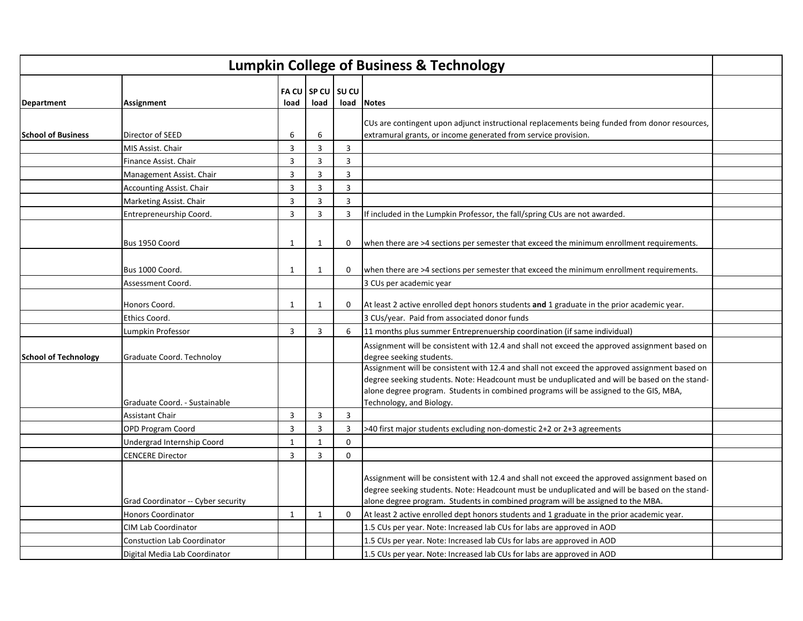| <b>Lumpkin College of Business &amp; Technology</b> |                                    |                         |                |                   |                                                                                                                                                                                                                                                                                                                     |  |  |
|-----------------------------------------------------|------------------------------------|-------------------------|----------------|-------------------|---------------------------------------------------------------------------------------------------------------------------------------------------------------------------------------------------------------------------------------------------------------------------------------------------------------------|--|--|
| <b>Department</b>                                   | Assignment                         | load                    | load           | FA CU SP CU SU CU | load Notes                                                                                                                                                                                                                                                                                                          |  |  |
|                                                     |                                    |                         |                |                   |                                                                                                                                                                                                                                                                                                                     |  |  |
| <b>School of Business</b>                           | Director of SEED                   | 6                       | 6              |                   | CUs are contingent upon adjunct instructional replacements being funded from donor resources,<br>extramural grants, or income generated from service provision.                                                                                                                                                     |  |  |
|                                                     | MIS Assist. Chair                  | $\overline{\mathbf{3}}$ | $\overline{3}$ | $\overline{3}$    |                                                                                                                                                                                                                                                                                                                     |  |  |
|                                                     | Finance Assist. Chair              | 3                       | 3              | $\overline{3}$    |                                                                                                                                                                                                                                                                                                                     |  |  |
|                                                     | Management Assist. Chair           | $\overline{3}$          | $\overline{3}$ | $\overline{3}$    |                                                                                                                                                                                                                                                                                                                     |  |  |
|                                                     | <b>Accounting Assist. Chair</b>    | 3                       | $\overline{3}$ | 3                 |                                                                                                                                                                                                                                                                                                                     |  |  |
|                                                     | Marketing Assist. Chair            | 3                       | 3              | $\overline{3}$    |                                                                                                                                                                                                                                                                                                                     |  |  |
|                                                     | Entrepreneurship Coord.            | $\overline{3}$          | 3              | $\overline{3}$    | If included in the Lumpkin Professor, the fall/spring CUs are not awarded.                                                                                                                                                                                                                                          |  |  |
|                                                     | Bus 1950 Coord                     | $\mathbf{1}$            | 1              | 0                 | when there are >4 sections per semester that exceed the minimum enrollment requirements.                                                                                                                                                                                                                            |  |  |
|                                                     | Bus 1000 Coord.                    | $\mathbf{1}$            | 1              | 0                 | when there are >4 sections per semester that exceed the minimum enrollment requirements.                                                                                                                                                                                                                            |  |  |
|                                                     | Assessment Coord.                  |                         |                |                   | 3 CUs per academic year                                                                                                                                                                                                                                                                                             |  |  |
|                                                     | Honors Coord.                      | $\mathbf{1}$            | 1              | $\mathbf 0$       | At least 2 active enrolled dept honors students and 1 graduate in the prior academic year.                                                                                                                                                                                                                          |  |  |
|                                                     | Ethics Coord.                      |                         |                |                   | 3 CUs/year. Paid from associated donor funds                                                                                                                                                                                                                                                                        |  |  |
|                                                     | Lumpkin Professor                  | $\overline{3}$          | 3              | 6                 | 11 months plus summer Entreprenuership coordination (if same individual)                                                                                                                                                                                                                                            |  |  |
| <b>School of Technology</b>                         | Graduate Coord. Technoloy          |                         |                |                   | Assignment will be consistent with 12.4 and shall not exceed the approved assignment based on<br>degree seeking students.                                                                                                                                                                                           |  |  |
|                                                     | Graduate Coord. - Sustainable      |                         |                |                   | Assignment will be consistent with 12.4 and shall not exceed the approved assignment based on<br>degree seeking students. Note: Headcount must be unduplicated and will be based on the stand-<br>alone degree program. Students in combined programs will be assigned to the GIS, MBA,<br>Technology, and Biology. |  |  |
|                                                     | <b>Assistant Chair</b>             | $\overline{3}$          | 3              | $\overline{3}$    |                                                                                                                                                                                                                                                                                                                     |  |  |
|                                                     | OPD Program Coord                  | $\overline{3}$          | 3              | $\overline{3}$    | >40 first major students excluding non-domestic 2+2 or 2+3 agreements                                                                                                                                                                                                                                               |  |  |
|                                                     | Undergrad Internship Coord         | $\mathbf{1}$            | $\mathbf{1}$   | $\Omega$          |                                                                                                                                                                                                                                                                                                                     |  |  |
|                                                     | <b>CENCERE Director</b>            | 3                       | 3              | $\mathbf 0$       |                                                                                                                                                                                                                                                                                                                     |  |  |
|                                                     | Grad Coordinator -- Cyber security |                         |                |                   | Assignment will be consistent with 12.4 and shall not exceed the approved assignment based on<br>degree seeking students. Note: Headcount must be unduplicated and will be based on the stand-<br>alone degree program. Students in combined program will be assigned to the MBA.                                   |  |  |
|                                                     | <b>Honors Coordinator</b>          | $\mathbf{1}$            | 1              | $\mathbf 0$       | At least 2 active enrolled dept honors students and 1 graduate in the prior academic year.                                                                                                                                                                                                                          |  |  |
|                                                     | CIM Lab Coordinator                |                         |                |                   | 1.5 CUs per year. Note: Increased lab CUs for labs are approved in AOD                                                                                                                                                                                                                                              |  |  |
|                                                     | <b>Constuction Lab Coordinator</b> |                         |                |                   | 1.5 CUs per year. Note: Increased lab CUs for labs are approved in AOD                                                                                                                                                                                                                                              |  |  |
|                                                     | Digital Media Lab Coordinator      |                         |                |                   | 1.5 CUs per year. Note: Increased lab CUs for labs are approved in AOD                                                                                                                                                                                                                                              |  |  |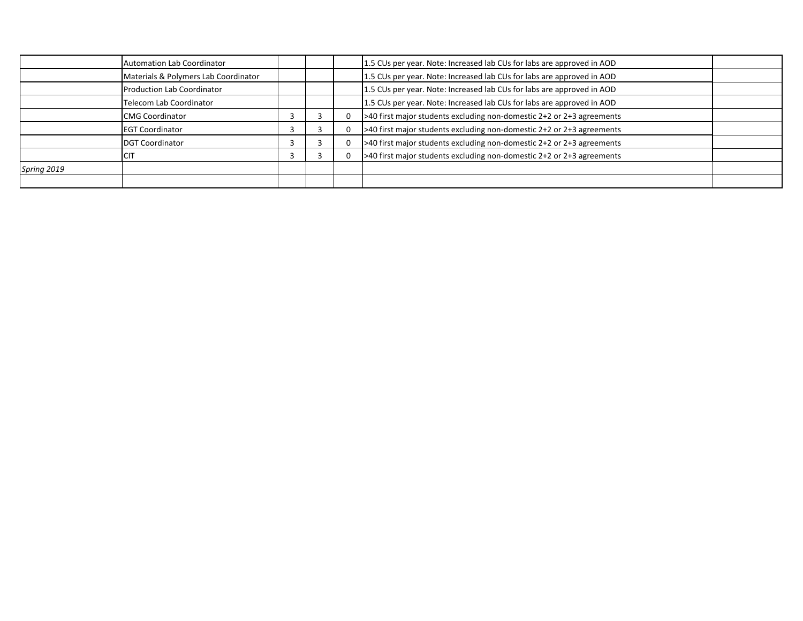|             | <b>Automation Lab Coordinator</b>    |  | 1.5 CUs per year. Note: Increased lab CUs for labs are approved in AOD |  |
|-------------|--------------------------------------|--|------------------------------------------------------------------------|--|
|             | Materials & Polymers Lab Coordinator |  | 1.5 CUs per year. Note: Increased lab CUs for labs are approved in AOD |  |
|             | Production Lab Coordinator           |  | 1.5 CUs per year. Note: Increased lab CUs for labs are approved in AOD |  |
|             | Telecom Lab Coordinator              |  | 1.5 CUs per year. Note: Increased lab CUs for labs are approved in AOD |  |
|             | <b>CMG Coordinator</b>               |  | >40 first major students excluding non-domestic 2+2 or 2+3 agreements  |  |
|             | <b>EGT Coordinator</b>               |  | >40 first major students excluding non-domestic 2+2 or 2+3 agreements  |  |
|             | <b>DGT Coordinator</b>               |  | >40 first major students excluding non-domestic 2+2 or 2+3 agreements  |  |
|             | <b>CIT</b>                           |  | >40 first major students excluding non-domestic 2+2 or 2+3 agreements  |  |
| Spring 2019 |                                      |  |                                                                        |  |
|             |                                      |  |                                                                        |  |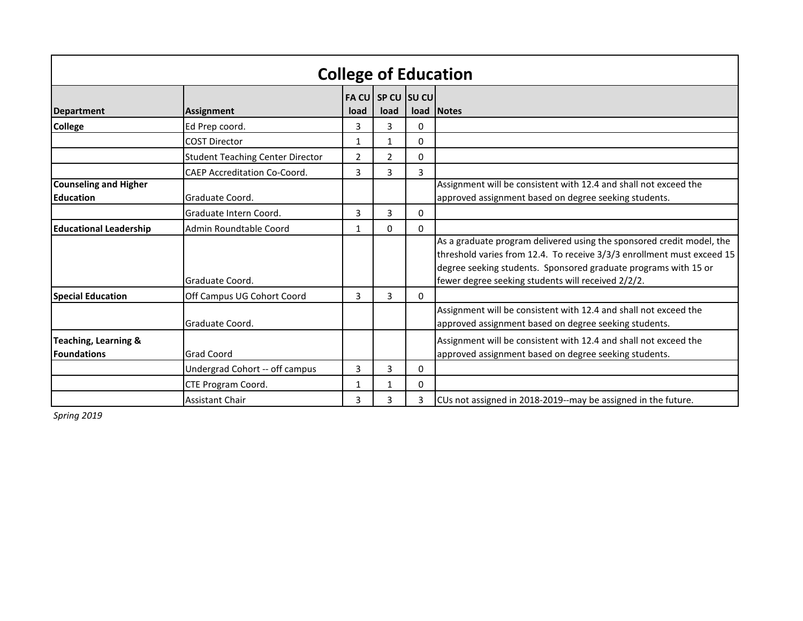| <b>College of Education</b>                           |                                         |      |                           |          |                                                                                                                                                                                                                                                                          |  |  |  |  |
|-------------------------------------------------------|-----------------------------------------|------|---------------------------|----------|--------------------------------------------------------------------------------------------------------------------------------------------------------------------------------------------------------------------------------------------------------------------------|--|--|--|--|
| <b>Department</b>                                     | <b>Assignment</b>                       | load | FA CU SP CU SU CU<br>load |          | load Notes                                                                                                                                                                                                                                                               |  |  |  |  |
| <b>College</b>                                        | Ed Prep coord.                          | 3    | 3                         | 0        |                                                                                                                                                                                                                                                                          |  |  |  |  |
|                                                       | <b>COST Director</b>                    | 1    | 1                         | $\Omega$ |                                                                                                                                                                                                                                                                          |  |  |  |  |
|                                                       | <b>Student Teaching Center Director</b> | 2    | $\overline{2}$            | 0        |                                                                                                                                                                                                                                                                          |  |  |  |  |
|                                                       | <b>CAEP Accreditation Co-Coord.</b>     | 3    | 3                         | 3        |                                                                                                                                                                                                                                                                          |  |  |  |  |
| <b>Counseling and Higher</b><br><b>Education</b>      | Graduate Coord.                         |      |                           |          | Assignment will be consistent with 12.4 and shall not exceed the<br>approved assignment based on degree seeking students.                                                                                                                                                |  |  |  |  |
|                                                       | Graduate Intern Coord.                  | 3    | 3                         | 0        |                                                                                                                                                                                                                                                                          |  |  |  |  |
| <b>Educational Leadership</b>                         | Admin Roundtable Coord                  |      | 0                         | 0        |                                                                                                                                                                                                                                                                          |  |  |  |  |
|                                                       | Graduate Coord.                         |      |                           |          | As a graduate program delivered using the sponsored credit model, the<br>threshold varies from 12.4. To receive 3/3/3 enrollment must exceed 15<br>degree seeking students. Sponsored graduate programs with 15 or<br>fewer degree seeking students will received 2/2/2. |  |  |  |  |
| <b>Special Education</b>                              | Off Campus UG Cohort Coord              | 3    | 3                         | $\Omega$ |                                                                                                                                                                                                                                                                          |  |  |  |  |
|                                                       | Graduate Coord.                         |      |                           |          | Assignment will be consistent with 12.4 and shall not exceed the<br>approved assignment based on degree seeking students.                                                                                                                                                |  |  |  |  |
| <b>Teaching, Learning &amp;</b><br><b>Foundations</b> | <b>Grad Coord</b>                       |      |                           |          | Assignment will be consistent with 12.4 and shall not exceed the<br>approved assignment based on degree seeking students.                                                                                                                                                |  |  |  |  |
|                                                       | Undergrad Cohort -- off campus          |      | 3                         | 0        |                                                                                                                                                                                                                                                                          |  |  |  |  |
|                                                       | CTE Program Coord.                      |      |                           | 0        |                                                                                                                                                                                                                                                                          |  |  |  |  |
|                                                       | <b>Assistant Chair</b>                  | 3    | 3                         | 3        | CUs not assigned in 2018-2019--may be assigned in the future.                                                                                                                                                                                                            |  |  |  |  |

*Spring 2019*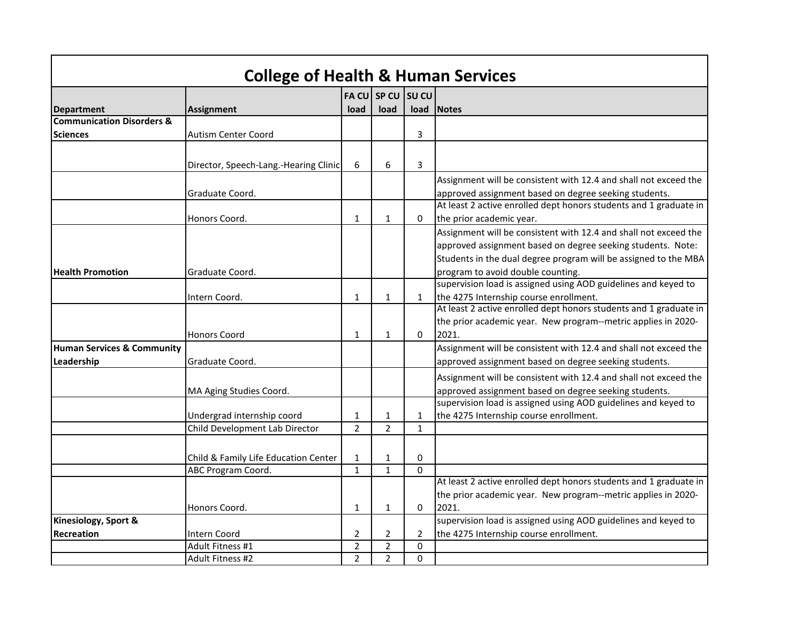|                                                     | <b>College of Health &amp; Human Services</b> |                |                |                |                                                                                                                                                                                                    |
|-----------------------------------------------------|-----------------------------------------------|----------------|----------------|----------------|----------------------------------------------------------------------------------------------------------------------------------------------------------------------------------------------------|
|                                                     |                                               |                | FA CU SP CU    | <b>SUCU</b>    |                                                                                                                                                                                                    |
| <b>Department</b>                                   | Assignment                                    | load           | load           | load           | <b>Notes</b>                                                                                                                                                                                       |
| <b>Communication Disorders &amp;</b>                |                                               |                |                |                |                                                                                                                                                                                                    |
| <b>Sciences</b>                                     | <b>Autism Center Coord</b>                    |                |                | 3              |                                                                                                                                                                                                    |
|                                                     | Director, Speech-Lang.-Hearing Clinic         | 6              | 6              | 3              |                                                                                                                                                                                                    |
|                                                     | Graduate Coord.                               |                |                |                | Assignment will be consistent with 12.4 and shall not exceed the<br>approved assignment based on degree seeking students.                                                                          |
|                                                     | Honors Coord.                                 | $\mathbf{1}$   | $\mathbf{1}$   | 0              | At least 2 active enrolled dept honors students and 1 graduate in<br>the prior academic year.                                                                                                      |
|                                                     |                                               |                |                |                | Assignment will be consistent with 12.4 and shall not exceed the<br>approved assignment based on degree seeking students. Note:<br>Students in the dual degree program will be assigned to the MBA |
| <b>Health Promotion</b>                             | Graduate Coord.                               |                |                |                | program to avoid double counting.                                                                                                                                                                  |
|                                                     | Intern Coord.                                 | 1              | $\mathbf{1}$   | $\mathbf{1}$   | supervision load is assigned using AOD guidelines and keyed to<br>the 4275 Internship course enrollment.                                                                                           |
|                                                     | <b>Honors Coord</b>                           | 1              | $\mathbf{1}$   | $\Omega$       | At least 2 active enrolled dept honors students and 1 graduate in<br>the prior academic year. New program--metric applies in 2020-<br>2021.                                                        |
| <b>Human Services &amp; Community</b><br>Leadership | Graduate Coord.                               |                |                |                | Assignment will be consistent with 12.4 and shall not exceed the<br>approved assignment based on degree seeking students.                                                                          |
|                                                     | MA Aging Studies Coord.                       |                |                |                | Assignment will be consistent with 12.4 and shall not exceed the<br>approved assignment based on degree seeking students.                                                                          |
|                                                     | Undergrad internship coord                    | $\mathbf{1}$   | $\mathbf{1}$   | $\mathbf{1}$   | supervision load is assigned using AOD guidelines and keyed to<br>the 4275 Internship course enrollment.                                                                                           |
|                                                     | Child Development Lab Director                | $\overline{2}$ | $\overline{2}$ | $\mathbf{1}$   |                                                                                                                                                                                                    |
|                                                     | Child & Family Life Education Center          | 1              | $\mathbf{1}$   | 0              |                                                                                                                                                                                                    |
|                                                     | ABC Program Coord.                            | $\mathbf{1}$   | $\mathbf{1}$   | $\Omega$       |                                                                                                                                                                                                    |
|                                                     | Honors Coord.                                 |                | $\mathbf{1}$   | $\mathbf{0}$   | At least 2 active enrolled dept honors students and 1 graduate in<br>the prior academic year. New program--metric applies in 2020-<br>2021.                                                        |
| Kinesiology, Sport &                                |                                               | $\mathbf{1}$   |                |                | supervision load is assigned using AOD guidelines and keyed to                                                                                                                                     |
| <b>Recreation</b>                                   | <b>Intern Coord</b>                           | $\overline{2}$ | $\overline{2}$ | $\overline{2}$ | the 4275 Internship course enrollment.                                                                                                                                                             |
|                                                     | Adult Fitness #1                              | $\overline{2}$ | $\overline{2}$ | $\mathbf{0}$   |                                                                                                                                                                                                    |
|                                                     | Adult Fitness #2                              | $\overline{2}$ | $\overline{2}$ | $\mathbf{0}$   |                                                                                                                                                                                                    |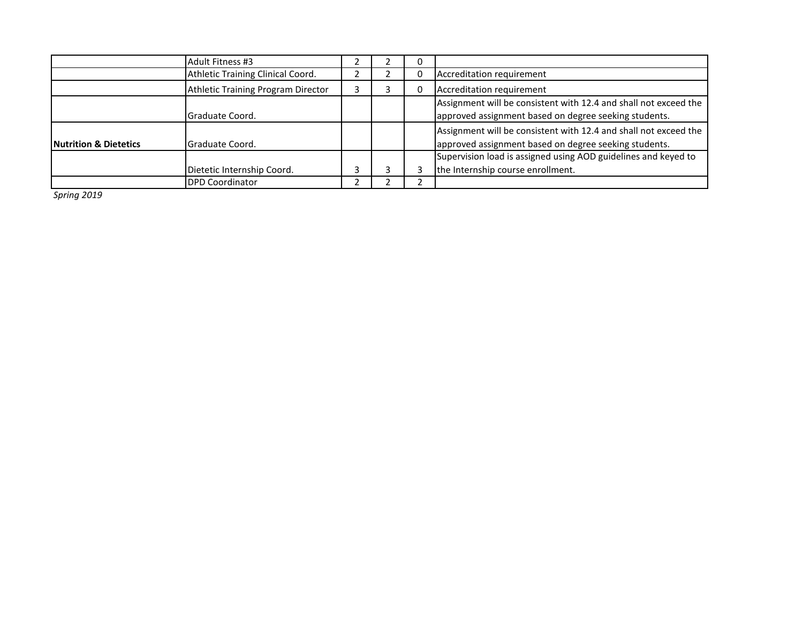|                                  | Adult Fitness #3                   |  | υ |                                                                                                                           |
|----------------------------------|------------------------------------|--|---|---------------------------------------------------------------------------------------------------------------------------|
|                                  | Athletic Training Clinical Coord.  |  |   | Accreditation requirement                                                                                                 |
|                                  | Athletic Training Program Director |  | 0 | Accreditation requirement                                                                                                 |
|                                  | Graduate Coord.                    |  |   | Assignment will be consistent with 12.4 and shall not exceed the<br>approved assignment based on degree seeking students. |
| <b>Nutrition &amp; Dietetics</b> | Graduate Coord.                    |  |   | Assignment will be consistent with 12.4 and shall not exceed the<br>approved assignment based on degree seeking students. |
|                                  |                                    |  |   | Supervision load is assigned using AOD guidelines and keyed to                                                            |
|                                  | Dietetic Internship Coord.         |  |   | the Internship course enrollment.                                                                                         |
|                                  | <b>DPD Coordinator</b>             |  |   |                                                                                                                           |

*Spring 2019*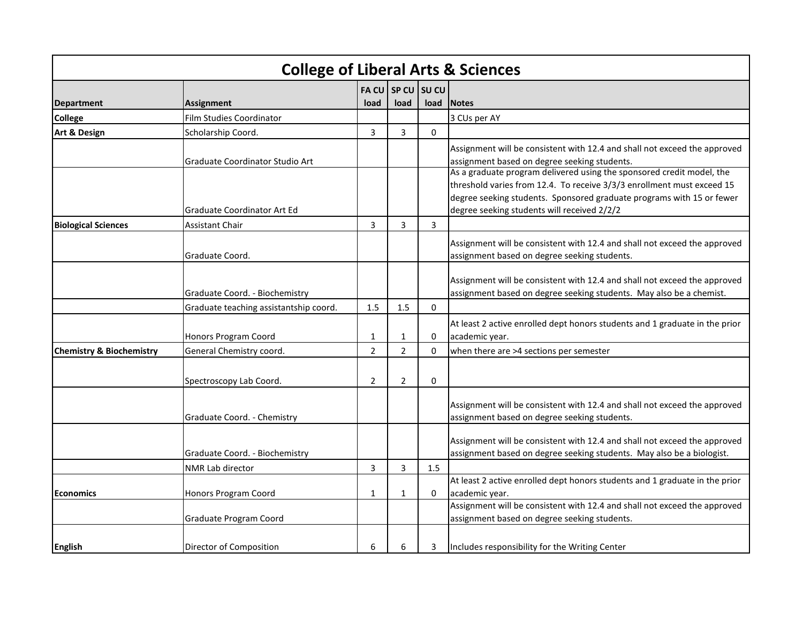| <b>College of Liberal Arts &amp; Sciences</b> |                                        |                |                |                |                                                                                                                                                                                                                                                                         |  |  |  |  |
|-----------------------------------------------|----------------------------------------|----------------|----------------|----------------|-------------------------------------------------------------------------------------------------------------------------------------------------------------------------------------------------------------------------------------------------------------------------|--|--|--|--|
|                                               |                                        | <b>FACU</b>    |                | $SPCU$ SU CU   |                                                                                                                                                                                                                                                                         |  |  |  |  |
| <b>Department</b>                             | <b>Assignment</b>                      | load           | load           | load           | <b>Notes</b>                                                                                                                                                                                                                                                            |  |  |  |  |
| <b>College</b>                                | <b>Film Studies Coordinator</b>        |                |                |                | 3 CUs per AY                                                                                                                                                                                                                                                            |  |  |  |  |
| <b>Art &amp; Design</b>                       | Scholarship Coord.                     | 3              | 3              | $\Omega$       |                                                                                                                                                                                                                                                                         |  |  |  |  |
|                                               | Graduate Coordinator Studio Art        |                |                |                | Assignment will be consistent with 12.4 and shall not exceed the approved<br>assignment based on degree seeking students.                                                                                                                                               |  |  |  |  |
|                                               | Graduate Coordinator Art Ed            |                |                |                | As a graduate program delivered using the sponsored credit model, the<br>threshold varies from 12.4. To receive 3/3/3 enrollment must exceed 15<br>degree seeking students. Sponsored graduate programs with 15 or fewer<br>degree seeking students will received 2/2/2 |  |  |  |  |
| <b>Biological Sciences</b>                    | <b>Assistant Chair</b>                 | 3              | 3              | $\overline{3}$ |                                                                                                                                                                                                                                                                         |  |  |  |  |
|                                               | Graduate Coord.                        |                |                |                | Assignment will be consistent with 12.4 and shall not exceed the approved<br>assignment based on degree seeking students.                                                                                                                                               |  |  |  |  |
|                                               | Graduate Coord. - Biochemistry         |                |                |                | Assignment will be consistent with 12.4 and shall not exceed the approved<br>assignment based on degree seeking students. May also be a chemist.                                                                                                                        |  |  |  |  |
|                                               | Graduate teaching assistantship coord. | 1.5            | 1.5            | 0              |                                                                                                                                                                                                                                                                         |  |  |  |  |
|                                               | <b>Honors Program Coord</b>            | $\mathbf{1}$   | 1              | 0              | At least 2 active enrolled dept honors students and 1 graduate in the prior<br>academic year.                                                                                                                                                                           |  |  |  |  |
| <b>Chemistry &amp; Biochemistry</b>           | General Chemistry coord.               | $\overline{2}$ | 2              | 0              | when there are >4 sections per semester                                                                                                                                                                                                                                 |  |  |  |  |
|                                               | Spectroscopy Lab Coord.                |                | $\overline{2}$ | 0              |                                                                                                                                                                                                                                                                         |  |  |  |  |
|                                               | Graduate Coord. - Chemistry            |                |                |                | Assignment will be consistent with 12.4 and shall not exceed the approved<br>assignment based on degree seeking students.                                                                                                                                               |  |  |  |  |
|                                               | Graduate Coord. - Biochemistry         |                |                |                | Assignment will be consistent with 12.4 and shall not exceed the approved<br>assignment based on degree seeking students. May also be a biologist.                                                                                                                      |  |  |  |  |
|                                               | <b>NMR Lab director</b>                | 3              | 3              | 1.5            |                                                                                                                                                                                                                                                                         |  |  |  |  |
| <b>Economics</b>                              | <b>Honors Program Coord</b>            | $\mathbf{1}$   | 1              | 0              | At least 2 active enrolled dept honors students and 1 graduate in the prior<br>academic year.                                                                                                                                                                           |  |  |  |  |
|                                               | Graduate Program Coord                 |                |                |                | Assignment will be consistent with 12.4 and shall not exceed the approved<br>assignment based on degree seeking students.                                                                                                                                               |  |  |  |  |
| <b>English</b>                                | Director of Composition                | 6              | 6              | 3              | Includes responsibility for the Writing Center                                                                                                                                                                                                                          |  |  |  |  |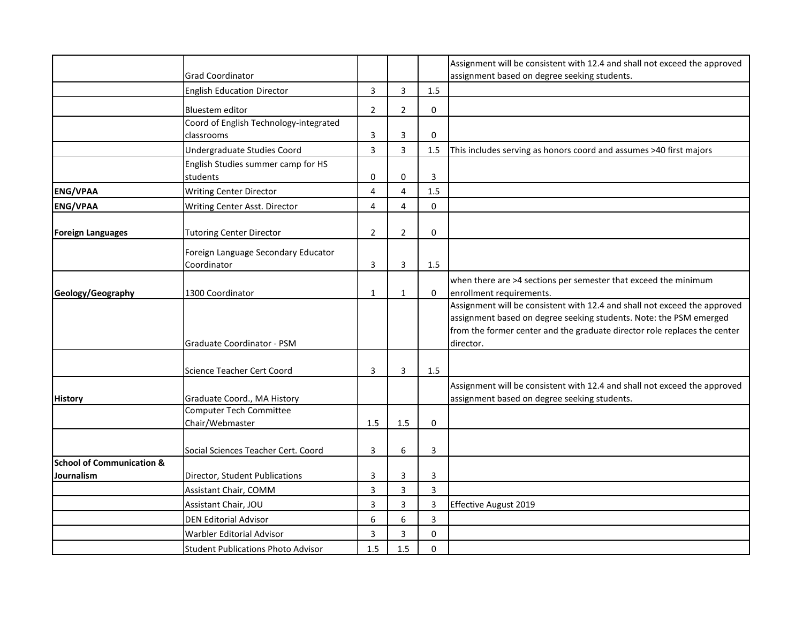|                                      |                                                        |                |                |             | Assignment will be consistent with 12.4 and shall not exceed the approved |
|--------------------------------------|--------------------------------------------------------|----------------|----------------|-------------|---------------------------------------------------------------------------|
|                                      | <b>Grad Coordinator</b>                                |                |                |             | assignment based on degree seeking students.                              |
|                                      | <b>English Education Director</b>                      | $\mathsf{3}$   | $\mathbf{3}$   | 1.5         |                                                                           |
|                                      | <b>Bluestem editor</b>                                 | $\overline{2}$ | $\overline{2}$ | 0           |                                                                           |
|                                      | Coord of English Technology-integrated                 |                |                |             |                                                                           |
|                                      | classrooms                                             | 3              | 3              | $\mathbf 0$ |                                                                           |
|                                      | Undergraduate Studies Coord                            | 3              | 3              | 1.5         | This includes serving as honors coord and assumes >40 first majors        |
|                                      | English Studies summer camp for HS                     |                |                |             |                                                                           |
|                                      | students                                               | 0              | $\mathbf 0$    | 3           |                                                                           |
| <b>ENG/VPAA</b>                      | <b>Writing Center Director</b>                         | $\overline{4}$ | 4              | 1.5         |                                                                           |
| <b>ENG/VPAA</b>                      | Writing Center Asst. Director                          | 4              | 4              | 0           |                                                                           |
|                                      |                                                        |                |                |             |                                                                           |
| <b>Foreign Languages</b>             | <b>Tutoring Center Director</b>                        | $\overline{2}$ | $\overline{2}$ | $\mathbf 0$ |                                                                           |
|                                      | Foreign Language Secondary Educator                    |                |                |             |                                                                           |
|                                      | Coordinator                                            | 3              | 3              | 1.5         |                                                                           |
|                                      |                                                        |                |                |             | when there are >4 sections per semester that exceed the minimum           |
| Geology/Geography                    | 1300 Coordinator                                       | 1              | 1              | $\mathbf 0$ | enrollment requirements.                                                  |
|                                      |                                                        |                |                |             | Assignment will be consistent with 12.4 and shall not exceed the approved |
|                                      |                                                        |                |                |             | assignment based on degree seeking students. Note: the PSM emerged        |
|                                      |                                                        |                |                |             | from the former center and the graduate director role replaces the center |
|                                      | Graduate Coordinator - PSM                             |                |                |             | director.                                                                 |
|                                      |                                                        |                |                |             |                                                                           |
|                                      | Science Teacher Cert Coord                             | 3              | 3              | 1.5         |                                                                           |
|                                      |                                                        |                |                |             | Assignment will be consistent with 12.4 and shall not exceed the approved |
| <b>History</b>                       | Graduate Coord., MA History<br>Computer Tech Committee |                |                |             | assignment based on degree seeking students.                              |
|                                      | Chair/Webmaster                                        | 1.5            | 1.5            | $\mathbf 0$ |                                                                           |
|                                      |                                                        |                |                |             |                                                                           |
|                                      | Social Sciences Teacher Cert. Coord                    | 3              | 6              | 3           |                                                                           |
| <b>School of Communication &amp;</b> |                                                        |                |                |             |                                                                           |
| <b>Journalism</b>                    | Director, Student Publications                         | 3              | 3              | 3           |                                                                           |
|                                      | Assistant Chair, COMM                                  | 3              | 3              | 3           |                                                                           |
|                                      | Assistant Chair, JOU                                   | 3              | 3              | 3           | <b>Effective August 2019</b>                                              |
|                                      | <b>DEN Editorial Advisor</b>                           | 6              | 6              | 3           |                                                                           |
|                                      | Warbler Editorial Advisor                              | 3              | 3              | 0           |                                                                           |
|                                      | <b>Student Publications Photo Advisor</b>              | 1.5            | 1.5            | 0           |                                                                           |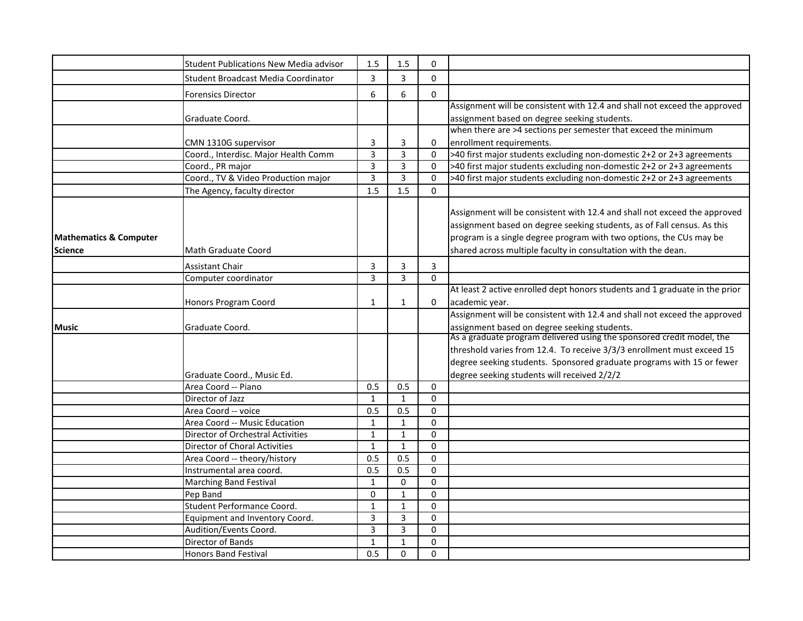|                                                     | <b>Student Publications New Media advisor</b> | 1.5          | 1.5            | $\mathbf 0$ |                                                                                                                                                                                                                                                                                              |
|-----------------------------------------------------|-----------------------------------------------|--------------|----------------|-------------|----------------------------------------------------------------------------------------------------------------------------------------------------------------------------------------------------------------------------------------------------------------------------------------------|
|                                                     | Student Broadcast Media Coordinator           | 3            | 3              | $\Omega$    |                                                                                                                                                                                                                                                                                              |
|                                                     | <b>Forensics Director</b>                     | 6            | 6              | 0           |                                                                                                                                                                                                                                                                                              |
|                                                     |                                               |              |                |             | Assignment will be consistent with 12.4 and shall not exceed the approved                                                                                                                                                                                                                    |
|                                                     | Graduate Coord.                               |              |                |             | assignment based on degree seeking students.                                                                                                                                                                                                                                                 |
|                                                     |                                               |              |                |             | when there are >4 sections per semester that exceed the minimum                                                                                                                                                                                                                              |
|                                                     | CMN 1310G supervisor                          | 3            | 3              | 0           | enrollment requirements.                                                                                                                                                                                                                                                                     |
|                                                     | Coord., Interdisc. Major Health Comm          | 3            | 3              | $\Omega$    | >40 first major students excluding non-domestic 2+2 or 2+3 agreements                                                                                                                                                                                                                        |
|                                                     | Coord., PR major                              | 3            | $\overline{3}$ | $\Omega$    | >40 first major students excluding non-domestic 2+2 or 2+3 agreements                                                                                                                                                                                                                        |
|                                                     | Coord., TV & Video Production major           | 3            | $\overline{3}$ | $\Omega$    | >40 first major students excluding non-domestic 2+2 or 2+3 agreements                                                                                                                                                                                                                        |
|                                                     | The Agency, faculty director                  | 1.5          | 1.5            | $\Omega$    |                                                                                                                                                                                                                                                                                              |
| <b>Mathematics &amp; Computer</b><br><b>Science</b> | Math Graduate Coord                           |              |                |             | Assignment will be consistent with 12.4 and shall not exceed the approved<br>assignment based on degree seeking students, as of Fall census. As this<br>program is a single degree program with two options, the CUs may be<br>shared across multiple faculty in consultation with the dean. |
|                                                     | <b>Assistant Chair</b>                        | 3            | 3              | 3           |                                                                                                                                                                                                                                                                                              |
|                                                     | Computer coordinator                          | 3            | 3              | $\Omega$    |                                                                                                                                                                                                                                                                                              |
|                                                     |                                               |              |                |             | At least 2 active enrolled dept honors students and 1 graduate in the prior                                                                                                                                                                                                                  |
|                                                     | Honors Program Coord                          | 1            | $\mathbf{1}$   | 0           | academic year.                                                                                                                                                                                                                                                                               |
|                                                     |                                               |              |                |             | Assignment will be consistent with 12.4 and shall not exceed the approved                                                                                                                                                                                                                    |
| <b>Music</b>                                        | Graduate Coord.                               |              |                |             | assignment based on degree seeking students.                                                                                                                                                                                                                                                 |
|                                                     |                                               |              |                |             | As a graduate program delivered using the sponsored credit model, the                                                                                                                                                                                                                        |
|                                                     |                                               |              |                |             | threshold varies from 12.4. To receive 3/3/3 enrollment must exceed 15                                                                                                                                                                                                                       |
|                                                     |                                               |              |                |             | degree seeking students. Sponsored graduate programs with 15 or fewer                                                                                                                                                                                                                        |
|                                                     | Graduate Coord., Music Ed.                    |              |                |             | degree seeking students will received 2/2/2                                                                                                                                                                                                                                                  |
|                                                     | Area Coord -- Piano                           | 0.5          | 0.5            | $\Omega$    |                                                                                                                                                                                                                                                                                              |
|                                                     | Director of Jazz                              | $\mathbf{1}$ | $\mathbf{1}$   | $\Omega$    |                                                                                                                                                                                                                                                                                              |
|                                                     | Area Coord -- voice                           | 0.5          | 0.5            | $\Omega$    |                                                                                                                                                                                                                                                                                              |
|                                                     | Area Coord -- Music Education                 | $\mathbf{1}$ | $\mathbf{1}$   | $\Omega$    |                                                                                                                                                                                                                                                                                              |
|                                                     | <b>Director of Orchestral Activities</b>      | $\mathbf{1}$ | $\mathbf{1}$   | $\Omega$    |                                                                                                                                                                                                                                                                                              |
|                                                     | Director of Choral Activities                 | $\mathbf{1}$ | $\mathbf{1}$   | $\mathbf 0$ |                                                                                                                                                                                                                                                                                              |
|                                                     | Area Coord -- theory/history                  | 0.5          | 0.5            | $\mathbf 0$ |                                                                                                                                                                                                                                                                                              |
|                                                     | Instrumental area coord.                      | 0.5          | 0.5            | $\mathbf 0$ |                                                                                                                                                                                                                                                                                              |
|                                                     | <b>Marching Band Festival</b>                 | $\mathbf{1}$ | $\mathbf 0$    | $\mathbf 0$ |                                                                                                                                                                                                                                                                                              |
|                                                     | Pep Band                                      | $\mathbf 0$  | $\mathbf{1}$   | $\mathbf 0$ |                                                                                                                                                                                                                                                                                              |
|                                                     | Student Performance Coord.                    | $\mathbf{1}$ | $\mathbf{1}$   | $\Omega$    |                                                                                                                                                                                                                                                                                              |
|                                                     | Equipment and Inventory Coord.                | 3            | 3              | $\Omega$    |                                                                                                                                                                                                                                                                                              |
|                                                     | Audition/Events Coord.                        | 3            | 3              | $\mathbf 0$ |                                                                                                                                                                                                                                                                                              |
|                                                     | <b>Director of Bands</b>                      | $\mathbf{1}$ | $\mathbf{1}$   | $\Omega$    |                                                                                                                                                                                                                                                                                              |
|                                                     | <b>Honors Band Festival</b>                   | 0.5          | $\Omega$       | $\Omega$    |                                                                                                                                                                                                                                                                                              |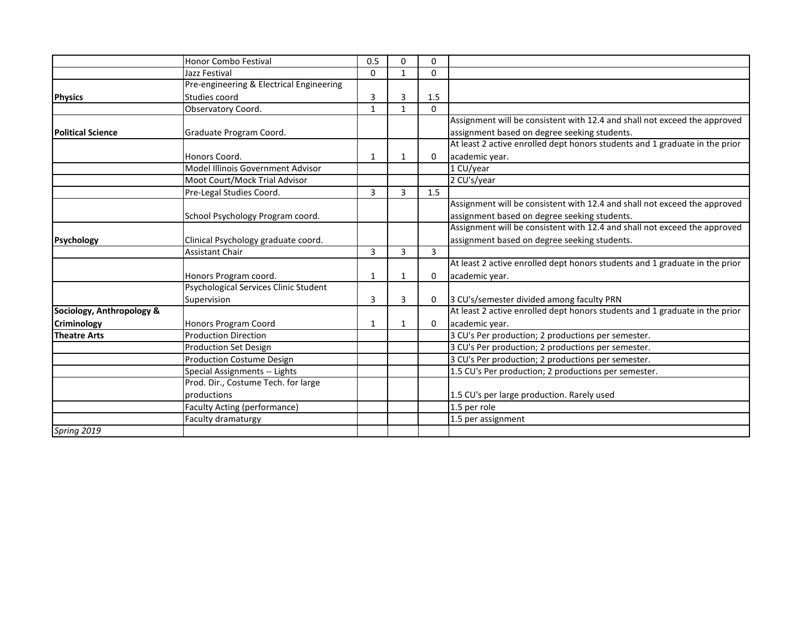|                           | <b>Honor Combo Festival</b>              | 0.5          | 0              | 0           |                                                                             |
|---------------------------|------------------------------------------|--------------|----------------|-------------|-----------------------------------------------------------------------------|
|                           | Jazz Festival                            | $\Omega$     | $\mathbf{1}$   | $\Omega$    |                                                                             |
|                           | Pre-engineering & Electrical Engineering |              |                |             |                                                                             |
| <b>Physics</b>            | Studies coord                            | 3            | 3              | 1.5         |                                                                             |
|                           | Observatory Coord.                       | $\mathbf{1}$ | $\mathbf{1}$   | $\Omega$    |                                                                             |
|                           |                                          |              |                |             | Assignment will be consistent with 12.4 and shall not exceed the approved   |
| <b>Political Science</b>  | Graduate Program Coord.                  |              |                |             | assignment based on degree seeking students.                                |
|                           |                                          |              |                |             | At least 2 active enrolled dept honors students and 1 graduate in the prior |
|                           | Honors Coord.                            | 1            | 1              | $\Omega$    | academic year.                                                              |
|                           | Model Illinois Government Advisor        |              |                |             | 1 CU/year                                                                   |
|                           | Moot Court/Mock Trial Advisor            |              |                |             | 2 CU's/year                                                                 |
|                           | Pre-Legal Studies Coord.                 | 3            | $\overline{3}$ | 1.5         |                                                                             |
|                           |                                          |              |                |             | Assignment will be consistent with 12.4 and shall not exceed the approved   |
|                           | School Psychology Program coord.         |              |                |             | assignment based on degree seeking students.                                |
|                           |                                          |              |                |             | Assignment will be consistent with 12.4 and shall not exceed the approved   |
| <b>Psychology</b>         | Clinical Psychology graduate coord.      |              |                |             | assignment based on degree seeking students.                                |
|                           | <b>Assistant Chair</b>                   | 3            | 3              | 3           |                                                                             |
|                           |                                          |              |                |             | At least 2 active enrolled dept honors students and 1 graduate in the prior |
|                           | Honors Program coord.                    | 1            | $\mathbf{1}$   | 0           | academic year.                                                              |
|                           | Psychological Services Clinic Student    |              |                |             |                                                                             |
|                           | Supervision                              | 3            | 3              | $\mathbf 0$ | 3 CU's/semester divided among faculty PRN                                   |
| Sociology, Anthropology & |                                          |              |                |             | At least 2 active enrolled dept honors students and 1 graduate in the prior |
| Criminology               | Honors Program Coord                     | 1            | 1              | 0           | academic year.                                                              |
| <b>Theatre Arts</b>       | <b>Production Direction</b>              |              |                |             | 3 CU's Per production; 2 productions per semester.                          |
|                           | <b>Production Set Design</b>             |              |                |             | 3 CU's Per production; 2 productions per semester.                          |
|                           | <b>Production Costume Design</b>         |              |                |             | 3 CU's Per production; 2 productions per semester.                          |
|                           | Special Assignments -- Lights            |              |                |             | 1.5 CU's Per production; 2 productions per semester.                        |
|                           | Prod. Dir., Costume Tech. for large      |              |                |             |                                                                             |
|                           | productions                              |              |                |             | 1.5 CU's per large production. Rarely used                                  |
|                           | <b>Faculty Acting (performance)</b>      |              |                |             | 1.5 per role                                                                |
|                           | Faculty dramaturgy                       |              |                |             | 1.5 per assignment                                                          |
| Spring 2019               |                                          |              |                |             |                                                                             |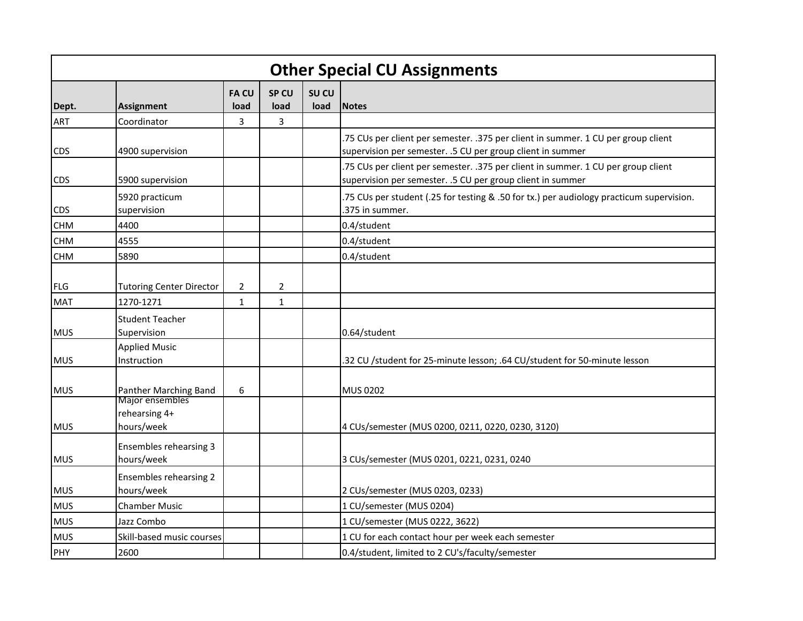| <b>Other Special CU Assignments</b> |                                                |                     |               |               |                                                                                                                                                 |  |  |  |  |
|-------------------------------------|------------------------------------------------|---------------------|---------------|---------------|-------------------------------------------------------------------------------------------------------------------------------------------------|--|--|--|--|
| Dept.                               | <b>Assignment</b>                              | <b>FACU</b><br>load | SP CU<br>load | SU CU<br>load | <b>Notes</b>                                                                                                                                    |  |  |  |  |
| ART                                 | Coordinator                                    | 3                   | 3             |               |                                                                                                                                                 |  |  |  |  |
| <b>CDS</b>                          | 4900 supervision                               |                     |               |               | .75 CUs per client per semester. .375 per client in summer. 1 CU per group client<br>supervision per semester. .5 CU per group client in summer |  |  |  |  |
| <b>CDS</b>                          | 5900 supervision                               |                     |               |               | .75 CUs per client per semester. .375 per client in summer. 1 CU per group client<br>supervision per semester. .5 CU per group client in summer |  |  |  |  |
| <b>CDS</b>                          | 5920 practicum<br>supervision                  |                     |               |               | .75 CUs per student (.25 for testing & .50 for tx.) per audiology practicum supervision.<br>.375 in summer.                                     |  |  |  |  |
| <b>CHM</b>                          | 4400                                           |                     |               |               | 0.4/student                                                                                                                                     |  |  |  |  |
| <b>CHM</b>                          | 4555                                           |                     |               |               | 0.4/student                                                                                                                                     |  |  |  |  |
| <b>CHM</b>                          | 5890                                           |                     |               |               | 0.4/student                                                                                                                                     |  |  |  |  |
| FLG                                 | <b>Tutoring Center Director</b>                | $\overline{2}$      | 2             |               |                                                                                                                                                 |  |  |  |  |
| <b>MAT</b>                          | 1270-1271                                      | $\mathbf{1}$        | $\mathbf{1}$  |               |                                                                                                                                                 |  |  |  |  |
| <b>MUS</b>                          | <b>Student Teacher</b><br>Supervision          |                     |               |               | 0.64/student                                                                                                                                    |  |  |  |  |
| <b>MUS</b>                          | <b>Applied Music</b><br>Instruction            |                     |               |               | .32 CU /student for 25-minute lesson; .64 CU/student for 50-minute lesson                                                                       |  |  |  |  |
| <b>MUS</b>                          | Panther Marching Band                          | 6                   |               |               | <b>MUS 0202</b>                                                                                                                                 |  |  |  |  |
| <b>MUS</b>                          | Major ensembles<br>rehearsing 4+<br>hours/week |                     |               |               | 4 CUs/semester (MUS 0200, 0211, 0220, 0230, 3120)                                                                                               |  |  |  |  |
| <b>MUS</b>                          | Ensembles rehearsing 3<br>hours/week           |                     |               |               | 3 CUs/semester (MUS 0201, 0221, 0231, 0240                                                                                                      |  |  |  |  |
| <b>MUS</b>                          | Ensembles rehearsing 2<br>hours/week           |                     |               |               | 2 CUs/semester (MUS 0203, 0233)                                                                                                                 |  |  |  |  |
| <b>MUS</b>                          | <b>Chamber Music</b>                           |                     |               |               | 1 CU/semester (MUS 0204)                                                                                                                        |  |  |  |  |
| <b>MUS</b>                          | Jazz Combo                                     |                     |               |               | 1 CU/semester (MUS 0222, 3622)                                                                                                                  |  |  |  |  |
| <b>MUS</b>                          | Skill-based music courses                      |                     |               |               | 1 CU for each contact hour per week each semester                                                                                               |  |  |  |  |
| PHY                                 | 2600                                           |                     |               |               | 0.4/student, limited to 2 CU's/faculty/semester                                                                                                 |  |  |  |  |